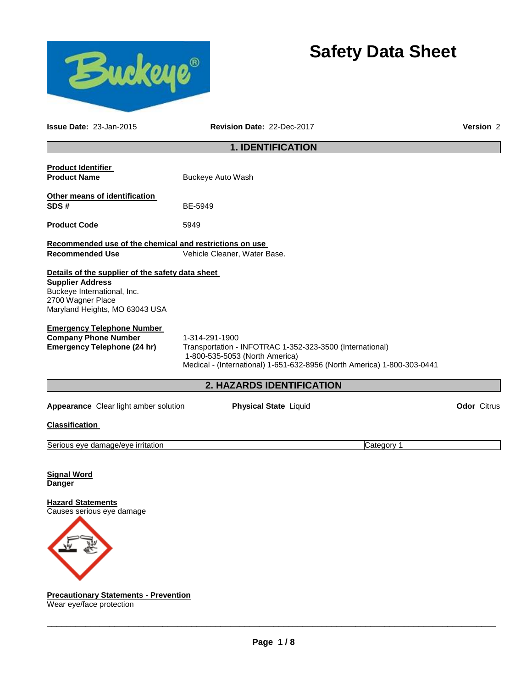



**Issue Date:** 23-Jan-2015 **Revision Date:** 22-Dec-2017 **Version** 2

# **1. IDENTIFICATION**

| <b>Product Identifier</b><br><b>Product Name</b>                                                                                                                  | Buckeye Auto Wash                                                                                                                                                                       |                    |
|-------------------------------------------------------------------------------------------------------------------------------------------------------------------|-----------------------------------------------------------------------------------------------------------------------------------------------------------------------------------------|--------------------|
| Other means of identification<br>SDS#                                                                                                                             | BE-5949                                                                                                                                                                                 |                    |
| <b>Product Code</b>                                                                                                                                               | 5949                                                                                                                                                                                    |                    |
| Recommended use of the chemical and restrictions on use<br><b>Recommended Use</b>                                                                                 | Vehicle Cleaner, Water Base.                                                                                                                                                            |                    |
| Details of the supplier of the safety data sheet<br><b>Supplier Address</b><br>Buckeye International, Inc.<br>2700 Wagner Place<br>Maryland Heights, MO 63043 USA |                                                                                                                                                                                         |                    |
| <b>Emergency Telephone Number</b><br><b>Company Phone Number</b><br><b>Emergency Telephone (24 hr)</b>                                                            | 1-314-291-1900<br>Transportation - INFOTRAC 1-352-323-3500 (International)<br>1-800-535-5053 (North America)<br>Medical - (International) 1-651-632-8956 (North America) 1-800-303-0441 |                    |
|                                                                                                                                                                   | 2. HAZARDS IDENTIFICATION                                                                                                                                                               |                    |
|                                                                                                                                                                   |                                                                                                                                                                                         |                    |
| Appearance Clear light amber solution                                                                                                                             | <b>Physical State Liquid</b>                                                                                                                                                            | <b>Odor Citrus</b> |
| <b>Classification</b>                                                                                                                                             |                                                                                                                                                                                         |                    |
| Serious eye damage/eye irritation                                                                                                                                 | Category 1                                                                                                                                                                              |                    |
| <b>Signal Word</b><br><b>Danger</b>                                                                                                                               |                                                                                                                                                                                         |                    |
| <b>Hazard Statements</b><br>Causes serious eye damage                                                                                                             |                                                                                                                                                                                         |                    |

**Precautionary Statements - Prevention** Wear eye/face protection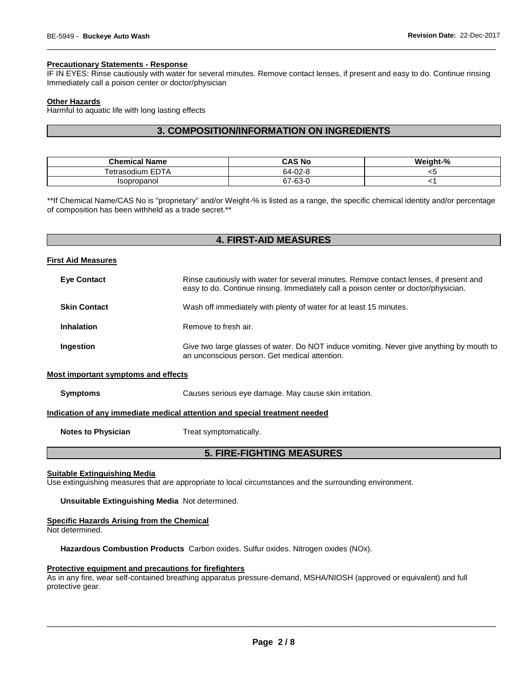# **Precautionary Statements - Response**

IF IN EYES: Rinse cautiously with water for several minutes. Remove contact lenses, if present and easy to do. Continue rinsing Immediately call a poison center or doctor/physician

\_\_\_\_\_\_\_\_\_\_\_\_\_\_\_\_\_\_\_\_\_\_\_\_\_\_\_\_\_\_\_\_\_\_\_\_\_\_\_\_\_\_\_\_\_\_\_\_\_\_\_\_\_\_\_\_\_\_\_\_\_\_\_\_\_\_\_\_\_\_\_\_\_\_\_\_\_\_\_\_\_\_\_\_\_\_\_\_\_\_\_\_\_

### **Other Hazards**

Harmful to aquatic life with long lasting effects

# **3. COMPOSITION/INFORMATION ON INGREDIENTS**

| <b>Chemical Name</b>      | CAS No  | Weight-% |
|---------------------------|---------|----------|
| Tetrasodium EDTA          | 64-02-8 | ີ        |
| <i><b>Isopropanol</b></i> | 67-63-C |          |

\*\*If Chemical Name/CAS No is "proprietary" and/or Weight-% is listed as a range, the specific chemical identity and/or percentage of composition has been withheld as a trade secret.\*\*

# **4. FIRST-AID MEASURES**

#### **First Aid Measures**

| <b>Eye Contact</b>                  | Rinse cautiously with water for several minutes. Remove contact lenses, if present and<br>easy to do. Continue rinsing. Immediately call a poison center or doctor/physician. |
|-------------------------------------|-------------------------------------------------------------------------------------------------------------------------------------------------------------------------------|
| <b>Skin Contact</b>                 | Wash off immediately with plenty of water for at least 15 minutes.                                                                                                            |
| <b>Inhalation</b>                   | Remove to fresh air.                                                                                                                                                          |
| Ingestion                           | Give two large glasses of water. Do NOT induce vomiting. Never give anything by mouth to<br>an unconscious person. Get medical attention.                                     |
| Most important symptoms and effects |                                                                                                                                                                               |

# **Symptoms** Causes serious eye damage. May cause skin irritation.

**Indication of any immediate medical attention and special treatment needed**

**Notes to Physician**  Treat symptomatically.

# **5. FIRE-FIGHTING MEASURES**

#### **Suitable Extinguishing Media**

Use extinguishing measures that are appropriate to local circumstances and the surrounding environment.

**Unsuitable Extinguishing Media** Not determined.

### **Specific Hazards Arising from the Chemical**

Not determined.

**Hazardous Combustion Products** Carbon oxides. Sulfur oxides. Nitrogen oxides (NOx).

#### **Protective equipment and precautions for firefighters**

As in any fire, wear self-contained breathing apparatus pressure-demand, MSHA/NIOSH (approved or equivalent) and full protective gear.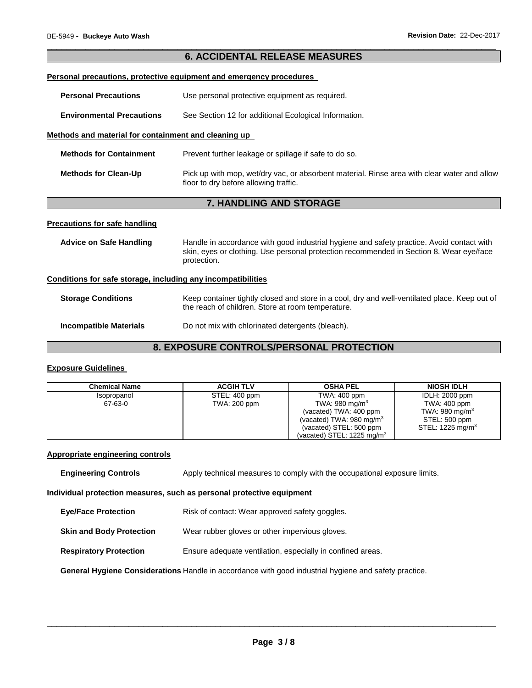| <b>6. ACCIDENTAL RELEASE MEASURES</b>                                      |                                                                                                                                                                                                     |  |  |  |
|----------------------------------------------------------------------------|-----------------------------------------------------------------------------------------------------------------------------------------------------------------------------------------------------|--|--|--|
| <b>Personal precautions, protective equipment and emergency procedures</b> |                                                                                                                                                                                                     |  |  |  |
| <b>Personal Precautions</b>                                                | Use personal protective equipment as required.                                                                                                                                                      |  |  |  |
| <b>Environmental Precautions</b>                                           | See Section 12 for additional Ecological Information.                                                                                                                                               |  |  |  |
| Methods and material for containment and cleaning up                       |                                                                                                                                                                                                     |  |  |  |
| <b>Methods for Containment</b>                                             | Prevent further leakage or spillage if safe to do so.                                                                                                                                               |  |  |  |
| <b>Methods for Clean-Up</b>                                                | Pick up with mop, wet/dry vac, or absorbent material. Rinse area with clear water and allow<br>floor to dry before allowing traffic.                                                                |  |  |  |
|                                                                            | 7. HANDLING AND STORAGE                                                                                                                                                                             |  |  |  |
| <b>Precautions for safe handling</b>                                       |                                                                                                                                                                                                     |  |  |  |
| <b>Advice on Safe Handling</b>                                             | Handle in accordance with good industrial hygiene and safety practice. Avoid contact with<br>skin, eyes or clothing. Use personal protection recommended in Section 8. Wear eye/face<br>protection. |  |  |  |
| Conditions for safe storage, including any incompatibilities               |                                                                                                                                                                                                     |  |  |  |
| <b>Storage Conditions</b>                                                  | Keep container tightly closed and store in a cool, dry and well-ventilated place. Keep out of<br>the reach of children. Store at room temperature.                                                  |  |  |  |
| <b>Incompatible Materials</b>                                              | Do not mix with chlorinated detergents (bleach).                                                                                                                                                    |  |  |  |
| <b>8. EXPOSURE CONTROLS/PERSONAL PROTECTION</b>                            |                                                                                                                                                                                                     |  |  |  |

\_\_\_\_\_\_\_\_\_\_\_\_\_\_\_\_\_\_\_\_\_\_\_\_\_\_\_\_\_\_\_\_\_\_\_\_\_\_\_\_\_\_\_\_\_\_\_\_\_\_\_\_\_\_\_\_\_\_\_\_\_\_\_\_\_\_\_\_\_\_\_\_\_\_\_\_\_\_\_\_\_\_\_\_\_\_\_\_\_\_\_\_\_

# **Exposure Guidelines**

| <b>Chemical Name</b> | <b>ACGIH TLV</b> | <b>OSHA PEL</b>                       | <b>NIOSH IDLH</b>          |
|----------------------|------------------|---------------------------------------|----------------------------|
| Isopropanol          | STEL: 400 ppm    | TWA: 400 ppm                          | <b>IDLH: 2000 ppm</b>      |
| 67-63-0              | TWA: 200 ppm     | TWA: 980 mg/m <sup>3</sup>            | TWA: 400 ppm               |
|                      |                  | (vacated) TWA: 400 ppm                | TWA: 980 mg/m <sup>3</sup> |
|                      |                  | (vacated) TWA: $980 \text{ mg/m}^3$   | STEL: 500 ppm              |
|                      |                  | (vacated) STEL: 500 ppm               | STEL: 1225 mg/m $3$        |
|                      |                  | (vacated) STEL: $1225 \text{ ma/m}^3$ |                            |

# **Appropriate engineering controls**

| <b>Engineering Controls</b> | Apply technical measures to comply with the occupational exposure limits. |  |  |
|-----------------------------|---------------------------------------------------------------------------|--|--|
|                             |                                                                           |  |  |

## **Individual protection measures, such as personal protective equipment**

| <b>Eye/Face Protection</b> | Risk of contact: Wear approved safety goggles. |
|----------------------------|------------------------------------------------|
|----------------------------|------------------------------------------------|

**Skin and Body Protection** Wear rubber gloves or other impervious gloves.

**Respiratory Protection Ensure adequate ventilation, especially in confined areas.** 

**General Hygiene Considerations** Handle in accordance with good industrial hygiene and safety practice.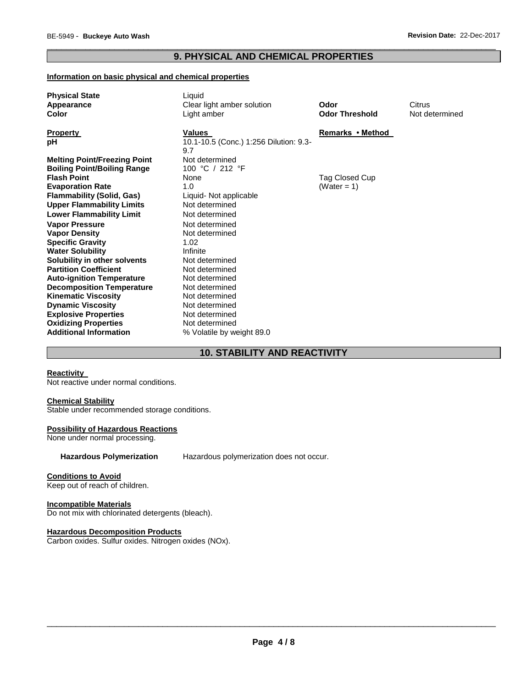# \_\_\_\_\_\_\_\_\_\_\_\_\_\_\_\_\_\_\_\_\_\_\_\_\_\_\_\_\_\_\_\_\_\_\_\_\_\_\_\_\_\_\_\_\_\_\_\_\_\_\_\_\_\_\_\_\_\_\_\_\_\_\_\_\_\_\_\_\_\_\_\_\_\_\_\_\_\_\_\_\_\_\_\_\_\_\_\_\_\_\_\_\_ **9. PHYSICAL AND CHEMICAL PROPERTIES**

### **Information on basic physical and chemical properties**

| <b>Physical State</b>               | Liquid                                 |                       |                |
|-------------------------------------|----------------------------------------|-----------------------|----------------|
| Appearance                          | Clear light amber solution             | Odor                  | Citrus         |
| Color                               | Light amber                            | <b>Odor Threshold</b> | Not determined |
|                                     |                                        |                       |                |
| <b>Property</b>                     | Values                                 | Remarks • Method      |                |
| pH                                  | 10.1-10.5 (Conc.) 1:256 Dilution: 9.3- |                       |                |
|                                     | 9.7                                    |                       |                |
| <b>Melting Point/Freezing Point</b> | Not determined                         |                       |                |
| <b>Boiling Point/Boiling Range</b>  | 100 °C / 212 °F                        |                       |                |
| <b>Flash Point</b>                  | None                                   | Tag Closed Cup        |                |
| <b>Evaporation Rate</b>             | 1.0                                    | (Water = 1)           |                |
| <b>Flammability (Solid, Gas)</b>    | Liquid- Not applicable                 |                       |                |
| <b>Upper Flammability Limits</b>    | Not determined                         |                       |                |
| <b>Lower Flammability Limit</b>     | Not determined                         |                       |                |
| <b>Vapor Pressure</b>               | Not determined                         |                       |                |
| <b>Vapor Density</b>                | Not determined                         |                       |                |
| <b>Specific Gravity</b>             | 1.02                                   |                       |                |
| <b>Water Solubility</b>             | Infinite                               |                       |                |
| Solubility in other solvents        | Not determined                         |                       |                |
| <b>Partition Coefficient</b>        | Not determined                         |                       |                |
| <b>Auto-ignition Temperature</b>    | Not determined                         |                       |                |
| <b>Decomposition Temperature</b>    | Not determined                         |                       |                |
| <b>Kinematic Viscosity</b>          | Not determined                         |                       |                |
| <b>Dynamic Viscosity</b>            | Not determined                         |                       |                |
| <b>Explosive Properties</b>         | Not determined                         |                       |                |
| <b>Oxidizing Properties</b>         | Not determined                         |                       |                |
| <b>Additional Information</b>       | % Volatile by weight 89.0              |                       |                |
|                                     |                                        |                       |                |

# **10. STABILITY AND REACTIVITY**

### **Reactivity**

Not reactive under normal conditions.

#### **Chemical Stability**

Stable under recommended storage conditions.

#### **Possibility of Hazardous Reactions**

None under normal processing.

**Hazardous Polymerization** Hazardous polymerization does not occur.

### **Conditions to Avoid**

Keep out of reach of children.

## **Incompatible Materials**

Do not mix with chlorinated detergents (bleach).

## **Hazardous Decomposition Products**

Carbon oxides. Sulfur oxides. Nitrogen oxides (NOx).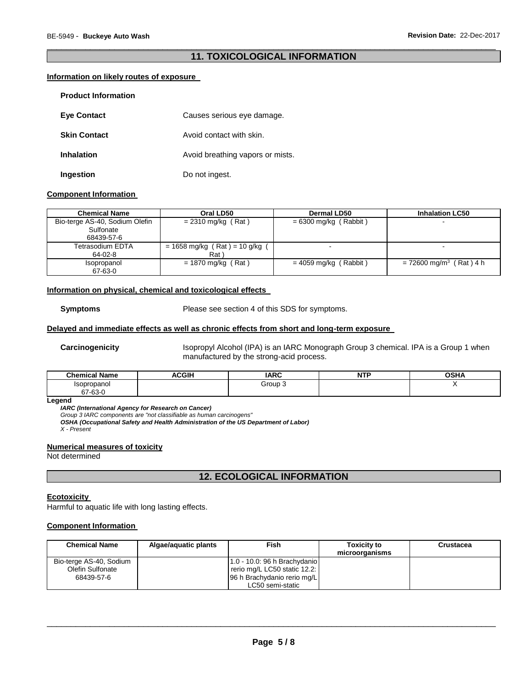# \_\_\_\_\_\_\_\_\_\_\_\_\_\_\_\_\_\_\_\_\_\_\_\_\_\_\_\_\_\_\_\_\_\_\_\_\_\_\_\_\_\_\_\_\_\_\_\_\_\_\_\_\_\_\_\_\_\_\_\_\_\_\_\_\_\_\_\_\_\_\_\_\_\_\_\_\_\_\_\_\_\_\_\_\_\_\_\_\_\_\_\_\_ **11. TOXICOLOGICAL INFORMATION**

# **Information on likely routes of exposure**

| <b>Product Information</b> |                                  |
|----------------------------|----------------------------------|
| <b>Eye Contact</b>         | Causes serious eye damage.       |
| <b>Skin Contact</b>        | Avoid contact with skin.         |
| <b>Inhalation</b>          | Avoid breathing vapors or mists. |
| Ingestion                  | Do not ingest.                   |

### **Component Information**

| <b>Chemical Name</b>           | Oral LD50                        | <b>Dermal LD50</b>      | <b>Inhalation LC50</b>                |
|--------------------------------|----------------------------------|-------------------------|---------------------------------------|
| Bio-terge AS-40, Sodium Olefin | $= 2310$ mg/kg (Rat)             | $= 6300$ mg/kg (Rabbit) |                                       |
| Sulfonate                      |                                  |                         |                                       |
| 68439-57-6                     |                                  |                         |                                       |
| Tetrasodium EDTA               | $= 1658$ mg/kg (Rat) = 10 g/kg ( |                         |                                       |
| 64-02-8                        | Rat \                            |                         |                                       |
| Isopropanol                    | $= 1870$ mg/kg (Rat)             | $= 4059$ mg/kg (Rabbit) | $= 72600$ mg/m <sup>3</sup> (Rat) 4 h |
| 67-63-0                        |                                  |                         |                                       |

#### **Information on physical, chemical and toxicological effects**

**Symptoms** Please see section 4 of this SDS for symptoms.

# **Delayed and immediate effects as well as chronic effects from short and long-term exposure**

**Carcinogenicity** Isopropyl Alcohol (IPA) is an IARC Monograph Group 3 chemical. IPA is a Group 1 when manufactured by the strong-acid process.

| <b>Chemical Name</b> | <b>ACGIP</b> | <b>IADC</b><br>$\sim$ | <b>NTP</b><br>. | OCDA<br>הווטט |
|----------------------|--------------|-----------------------|-----------------|---------------|
| Isopropanol          |              | Group 3               |                 |               |
| 67-63-0              |              |                       |                 |               |

#### **Legend**

*IARC (International Agency for Research on Cancer)*

*Group 3 IARC components are "not classifiable as human carcinogens"* 

*OSHA (Occupational Safety and Health Administration of the US Department of Labor)*

*X - Present* 

### **Numerical measures of toxicity**

Not determined

# **12. ECOLOGICAL INFORMATION**

#### **Ecotoxicity**

Harmful to aquatic life with long lasting effects.

# **Component Information**

| <b>Chemical Name</b>    | Algae/aguatic plants | Fish                         | <b>Toxicity to</b> | Crustacea |
|-------------------------|----------------------|------------------------------|--------------------|-----------|
|                         |                      |                              | microorganisms     |           |
| Bio-terge AS-40, Sodium |                      | 1.0 - 10.0: 96 h Brachydanio |                    |           |
| Olefin Sulfonate        |                      | rerio mg/L LC50 static 12.2: |                    |           |
| 68439-57-6              |                      | 96 h Brachydanio rerio mg/L  |                    |           |
|                         |                      | LC50 semi-static             |                    |           |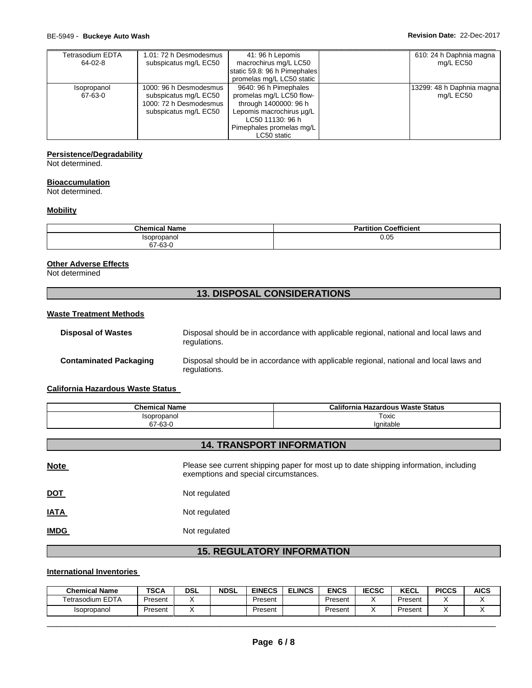| Tetrasodium EDTA | 1.01: 72 h Desmodesmus | 41: 96 h Lepomis             | 610: 24 h Daphnia magna   |
|------------------|------------------------|------------------------------|---------------------------|
| 64-02-8          | subspicatus mg/L EC50  | macrochirus mg/L LC50        | mg/L EC50                 |
|                  |                        | static 59.8: 96 h Pimephales |                           |
|                  |                        | promelas mg/L LC50 static    |                           |
| Isopropanol      | 1000: 96 h Desmodesmus | 9640: 96 h Pimephales        | 13299: 48 h Daphnia magna |
| 67-63-0          | subspicatus mg/L EC50  | promelas mg/L LC50 flow-     | mg/L EC50                 |
|                  | 1000: 72 h Desmodesmus | through 1400000: 96 h        |                           |
|                  | subspicatus mg/L EC50  | Lepomis macrochirus ug/L     |                           |
|                  |                        | LC50 11130: 96 h             |                           |
|                  |                        | Pimephales promelas mg/L     |                           |
|                  |                        | LC50 static                  |                           |

# **Persistence/Degradability**

Not determined.

### **Bioaccumulation**

Not determined.

## **Mobility**

| <b>Chemical Name</b> | Coefficient<br>.<br>aı u |
|----------------------|--------------------------|
| Isopropanol          | 0.05                     |
| 67-63-0              |                          |

## **Other Adverse Effects**

Not determined

# **13. DISPOSAL CONSIDERATIONS**

#### **Waste Treatment Methods**

| <b>Disposal of Wastes</b>     | Disposal should be in accordance with applicable regional, national and local laws and<br>regulations. |
|-------------------------------|--------------------------------------------------------------------------------------------------------|
| <b>Contaminated Packaging</b> | Disposal should be in accordance with applicable regional, national and local laws and<br>regulations. |

# **California Hazardous Waste Status**

| <b>Chemical Name</b>      | California<br>a Hazardous Waste Status |
|---------------------------|----------------------------------------|
| <i><b>Isopropanol</b></i> | Toxic                                  |
| 67-63-0                   | lanitable                              |

# **14. TRANSPORT INFORMATION**

| <b>Note</b> | Please see current shipping paper for most up to date shipping information, including<br>exemptions and special circumstances. |
|-------------|--------------------------------------------------------------------------------------------------------------------------------|
| <u>DOT</u>  | Not regulated                                                                                                                  |
| <b>IATA</b> | Not regulated                                                                                                                  |
| <b>IMDG</b> | Not regulated                                                                                                                  |
|             |                                                                                                                                |

# **15. REGULATORY INFORMATION**

# **International Inventories**

| <b>Chemical Name</b>    | <b>TSCA</b> | <b>DSL</b> | <b>NDSL</b> | <b>EINECS</b> | <b>ELINCS</b> | <b>ENCS</b> | <b>IECSC</b> | <b>KECL</b> | <b>PICCS</b> | <b>AICS</b> |
|-------------------------|-------------|------------|-------------|---------------|---------------|-------------|--------------|-------------|--------------|-------------|
| <b>Tetrasodium EDTA</b> | Present     |            |             | Present       |               | Present     |              | Present     |              |             |
| <b>Isopropanol</b>      | Present     |            |             | Present       |               | Present     |              | Present     |              |             |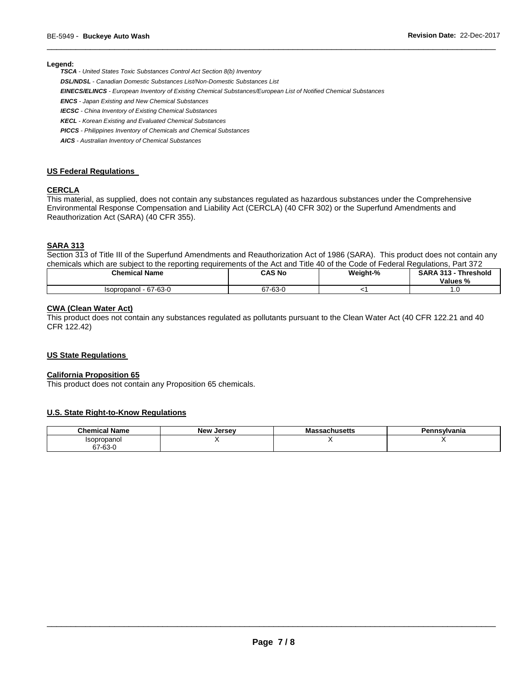#### **Legend:**

*TSCA - United States Toxic Substances Control Act Section 8(b) Inventory* 

*DSL/NDSL - Canadian Domestic Substances List/Non-Domestic Substances List* 

*EINECS/ELINCS - European Inventory of Existing Chemical Substances/European List of Notified Chemical Substances* 

*ENCS - Japan Existing and New Chemical Substances* 

*IECSC - China Inventory of Existing Chemical Substances* 

*KECL - Korean Existing and Evaluated Chemical Substances* 

*PICCS - Philippines Inventory of Chemicals and Chemical Substances* 

*AICS - Australian Inventory of Chemical Substances* 

### **US Federal Regulations**

# **CERCLA**

This material, as supplied, does not contain any substances regulated as hazardous substances under the Comprehensive Environmental Response Compensation and Liability Act (CERCLA) (40 CFR 302) or the Superfund Amendments and Reauthorization Act (SARA) (40 CFR 355).

### **SARA 313**

Section 313 of Title III of the Superfund Amendments and Reauthorization Act of 1986 (SARA). This product does not contain any chemicals which are subject to the reporting requirements of the Act and Title 40 of the Code of Federal Regulations, Part 372

\_\_\_\_\_\_\_\_\_\_\_\_\_\_\_\_\_\_\_\_\_\_\_\_\_\_\_\_\_\_\_\_\_\_\_\_\_\_\_\_\_\_\_\_\_\_\_\_\_\_\_\_\_\_\_\_\_\_\_\_\_\_\_\_\_\_\_\_\_\_\_\_\_\_\_\_\_\_\_\_\_\_\_\_\_\_\_\_\_\_\_\_\_

| <b>Chemical Name</b>  | <b>CAS No</b> | Weight-% | <b>SARA 313 - Threshold</b><br>Values % |
|-----------------------|---------------|----------|-----------------------------------------|
| Isopropanol - 67-63-0 | 67-63-0       |          | U                                       |

### **CWA (Clean Water Act)**

This product does not contain any substances regulated as pollutants pursuant to the Clean Water Act (40 CFR 122.21 and 40 CFR 122.42)

### **US State Regulations**

### **California Proposition 65**

This product does not contain any Proposition 65 chemicals.

### **U.S. State Right-to-Know Regulations**

| <b>Chemical Name</b> | <b>New Jersey</b> | <b>lassachusetts</b><br>Mas | Pennsvlvania |
|----------------------|-------------------|-----------------------------|--------------|
| Isopropanol<br>ישטפ. |                   |                             |              |
| $\sim$<br>67-63-0    |                   |                             |              |